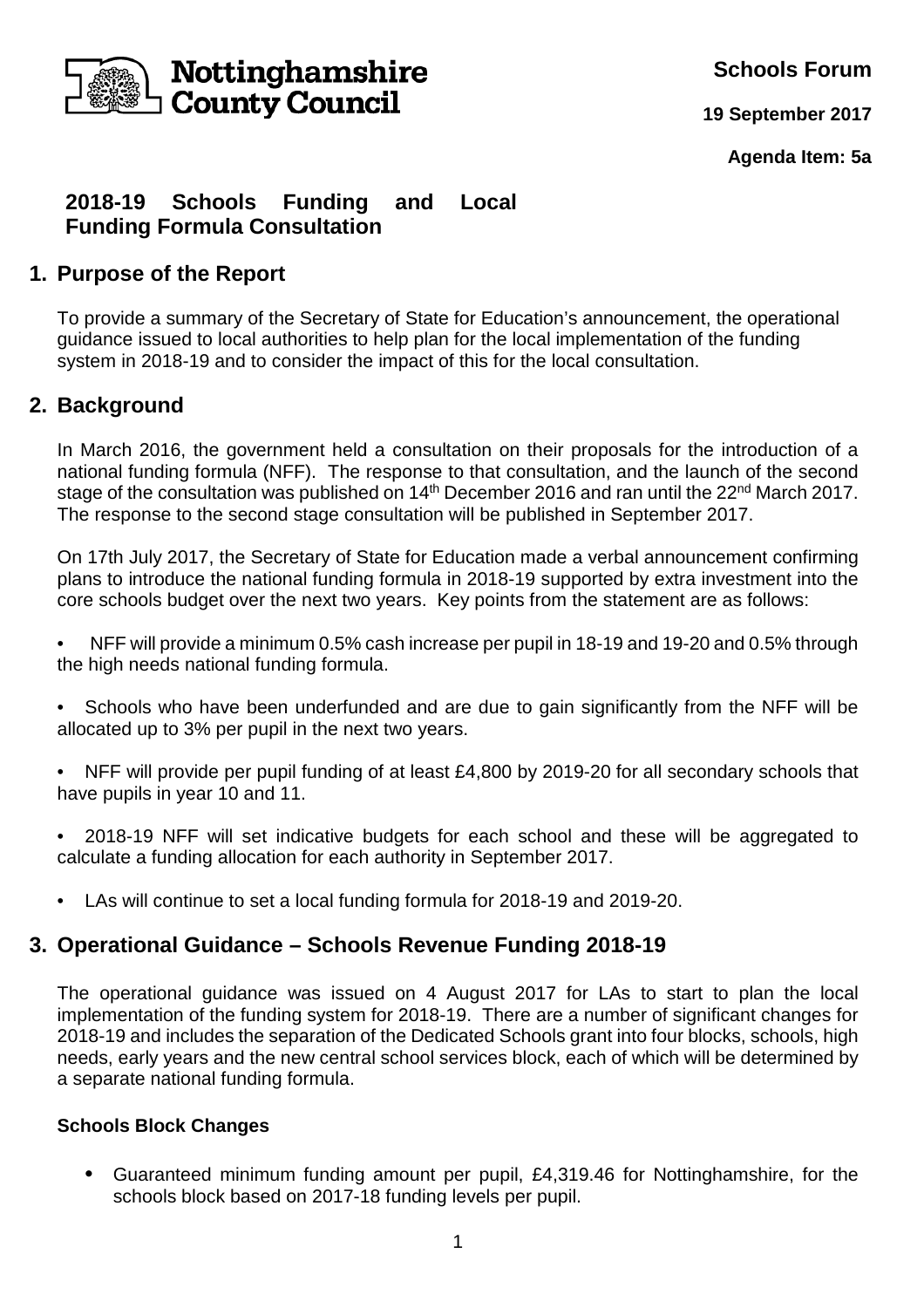

**Schools Forum**

**19 September 2017**

**Agenda Item: 5a**

## **2018-19 Schools Funding and Local Funding Formula Consultation**

#### **1. Purpose of the Report**

To provide a summary of the Secretary of State for Education's announcement, the operational guidance issued to local authorities to help plan for the local implementation of the funding system in 2018-19 and to consider the impact of this for the local consultation.

## **2. Background**

In March 2016, the government held a consultation on their proposals for the introduction of a national funding formula (NFF). The response to that consultation, and the launch of the second stage of the consultation was published on 14<sup>th</sup> December 2016 and ran until the 22<sup>nd</sup> March 2017. The response to the second stage consultation will be published in September 2017.

On 17th July 2017, the Secretary of State for Education made a verbal announcement confirming plans to introduce the national funding formula in 2018-19 supported by extra investment into the core schools budget over the next two years. Key points from the statement are as follows:

- NFF will provide a minimum 0.5% cash increase per pupil in 18-19 and 19-20 and 0.5% through the high needs national funding formula.
- Schools who have been underfunded and are due to gain significantly from the NFF will be allocated up to 3% per pupil in the next two years.
- NFF will provide per pupil funding of at least £4,800 by 2019-20 for all secondary schools that have pupils in year 10 and 11.
- 2018-19 NFF will set indicative budgets for each school and these will be aggregated to calculate a funding allocation for each authority in September 2017.
- LAs will continue to set a local funding formula for 2018-19 and 2019-20.

#### **3. Operational Guidance – Schools Revenue Funding 2018-19**

The operational guidance was issued on 4 August 2017 for LAs to start to plan the local implementation of the funding system for 2018-19. There are a number of significant changes for 2018-19 and includes the separation of the Dedicated Schools grant into four blocks, schools, high needs, early years and the new central school services block, each of which will be determined by a separate national funding formula.

#### **Schools Block Changes**

**•** Guaranteed minimum funding amount per pupil, £4,319.46 for Nottinghamshire, for the schools block based on 2017-18 funding levels per pupil.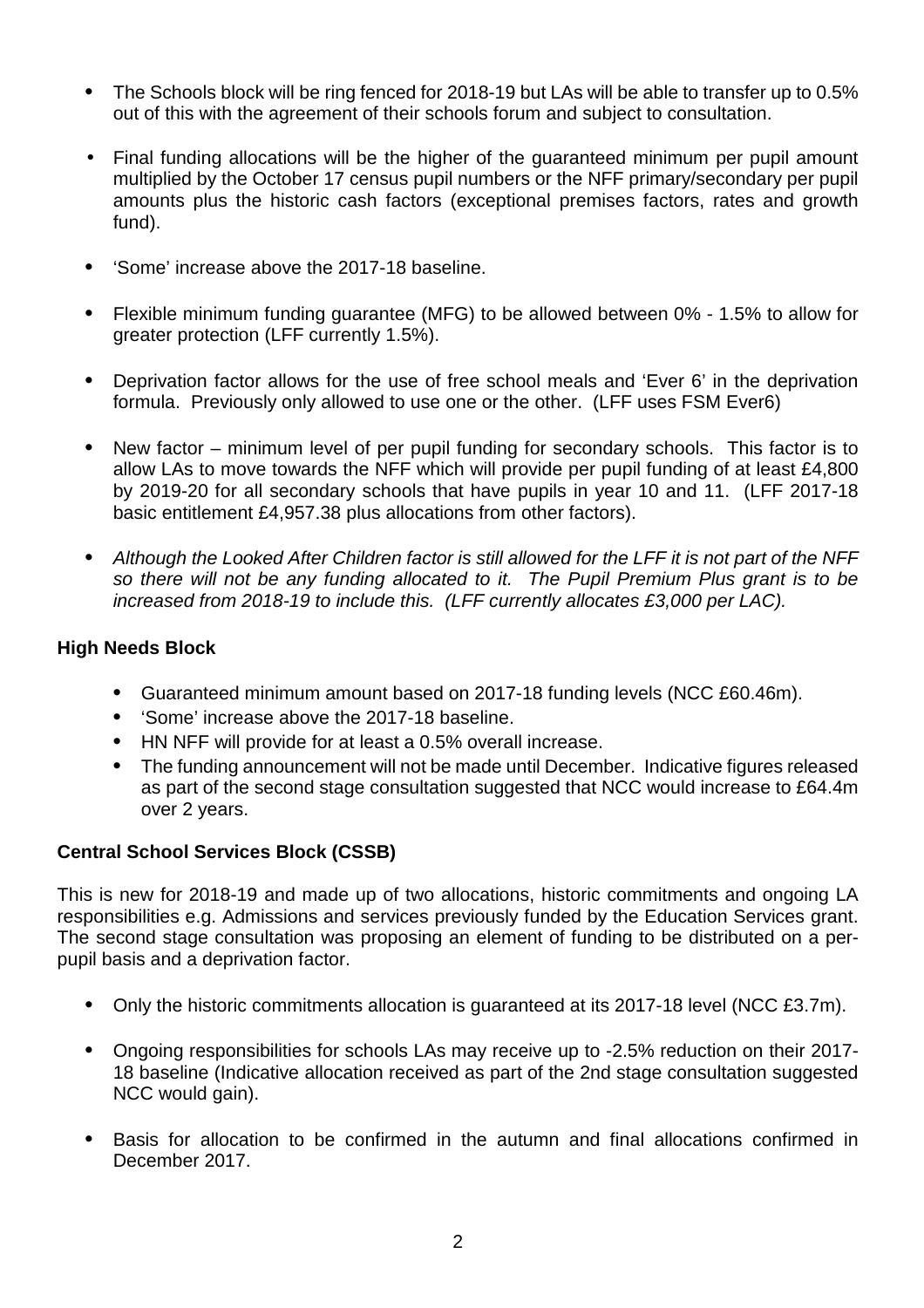- The Schools block will be ring fenced for 2018-19 but LAs will be able to transfer up to 0.5% out of this with the agreement of their schools forum and subject to consultation.
- Final funding allocations will be the higher of the guaranteed minimum per pupil amount multiplied by the October 17 census pupil numbers or the NFF primary/secondary per pupil amounts plus the historic cash factors (exceptional premises factors, rates and growth fund).
- 'Some' increase above the 2017-18 baseline.
- Flexible minimum funding guarantee (MFG) to be allowed between 0% 1.5% to allow for greater protection (LFF currently 1.5%).
- Deprivation factor allows for the use of free school meals and 'Ever 6' in the deprivation formula. Previously only allowed to use one or the other. (LFF uses FSM Ever6)
- New factor minimum level of per pupil funding for secondary schools. This factor is to allow LAs to move towards the NFF which will provide per pupil funding of at least £4,800 by 2019-20 for all secondary schools that have pupils in year 10 and 11. (LFF 2017-18 basic entitlement £4,957.38 plus allocations from other factors).
- Although the Looked After Children factor is still allowed for the LFF it is not part of the NFF so there will not be any funding allocated to it. The Pupil Premium Plus grant is to be increased from 2018-19 to include this. (LFF currently allocates £3,000 per LAC).

#### **High Needs Block**

- Guaranteed minimum amount based on 2017-18 funding levels (NCC £60.46m).
- 'Some' increase above the 2017-18 baseline.
- HN NFF will provide for at least a 0.5% overall increase.
- The funding announcement will not be made until December. Indicative figures released as part of the second stage consultation suggested that NCC would increase to £64.4m over 2 years.

#### **Central School Services Block (CSSB)**

This is new for 2018-19 and made up of two allocations, historic commitments and ongoing LA responsibilities e.g. Admissions and services previously funded by the Education Services grant. The second stage consultation was proposing an element of funding to be distributed on a perpupil basis and a deprivation factor.

- Only the historic commitments allocation is guaranteed at its 2017-18 level (NCC £3.7m).
- Ongoing responsibilities for schools LAs may receive up to -2.5% reduction on their 2017- 18 baseline (Indicative allocation received as part of the 2nd stage consultation suggested NCC would gain).
- Basis for allocation to be confirmed in the autumn and final allocations confirmed in December 2017.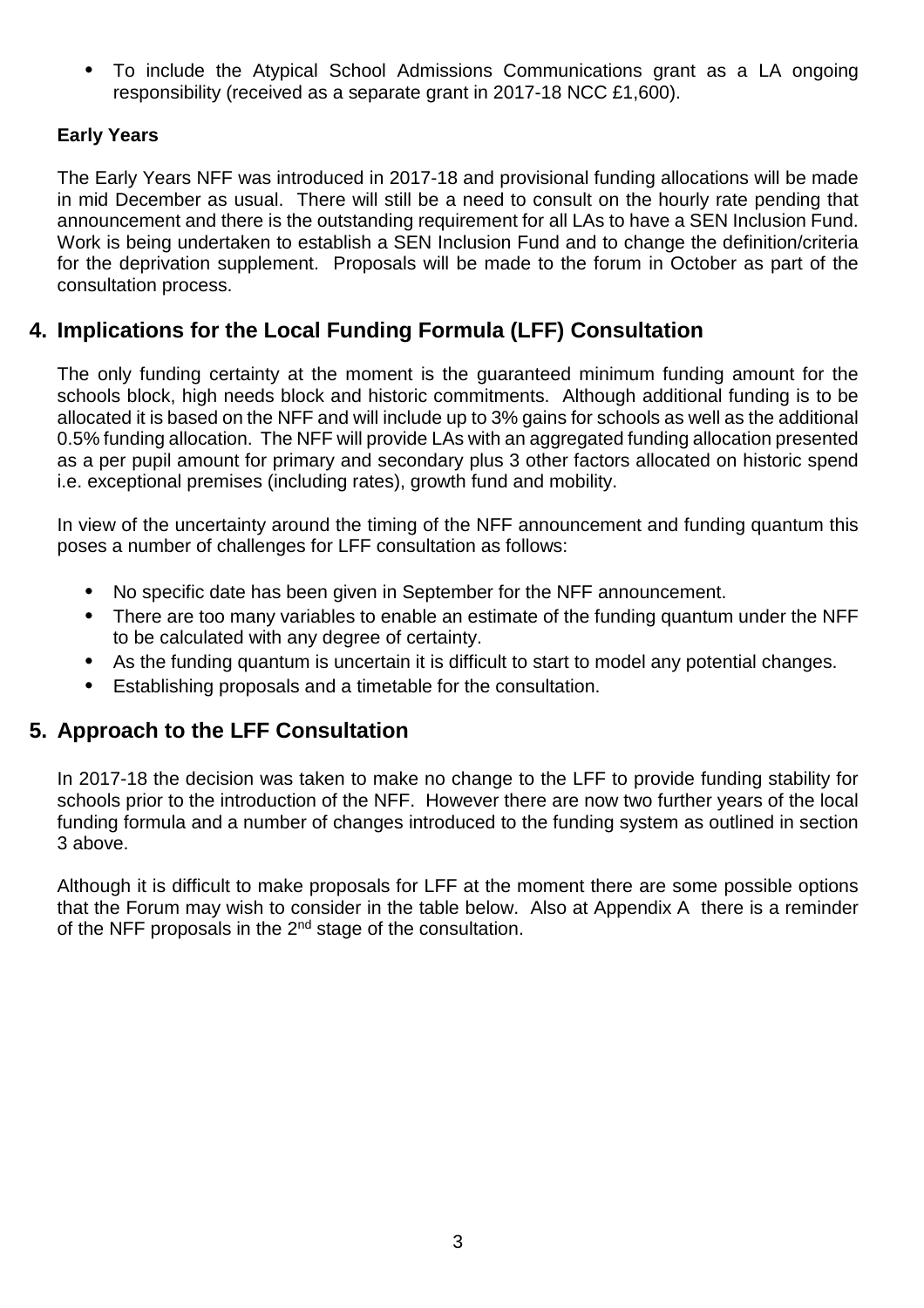**•** To include the Atypical School Admissions Communications grant as a LA ongoing responsibility (received as a separate grant in 2017-18 NCC £1,600).

#### **Early Years**

The Early Years NFF was introduced in 2017-18 and provisional funding allocations will be made in mid December as usual. There will still be a need to consult on the hourly rate pending that announcement and there is the outstanding requirement for all LAs to have a SEN Inclusion Fund. Work is being undertaken to establish a SEN Inclusion Fund and to change the definition/criteria for the deprivation supplement. Proposals will be made to the forum in October as part of the consultation process.

## **4. Implications for the Local Funding Formula (LFF) Consultation**

The only funding certainty at the moment is the guaranteed minimum funding amount for the schools block, high needs block and historic commitments. Although additional funding is to be allocated it is based on the NFF and will include up to 3% gains for schools as well as the additional 0.5% funding allocation. The NFF will provide LAs with an aggregated funding allocation presented as a per pupil amount for primary and secondary plus 3 other factors allocated on historic spend i.e. exceptional premises (including rates), growth fund and mobility.

In view of the uncertainty around the timing of the NFF announcement and funding quantum this poses a number of challenges for LFF consultation as follows:

- No specific date has been given in September for the NFF announcement.
- There are too many variables to enable an estimate of the funding quantum under the NFF to be calculated with any degree of certainty.
- As the funding quantum is uncertain it is difficult to start to model any potential changes.
- Establishing proposals and a timetable for the consultation.

## **5. Approach to the LFF Consultation**

In 2017-18 the decision was taken to make no change to the LFF to provide funding stability for schools prior to the introduction of the NFF. However there are now two further years of the local funding formula and a number of changes introduced to the funding system as outlined in section 3 above.

Although it is difficult to make proposals for LFF at the moment there are some possible options that the Forum may wish to consider in the table below. Also at Appendix A there is a reminder of the NFF proposals in the 2<sup>nd</sup> stage of the consultation.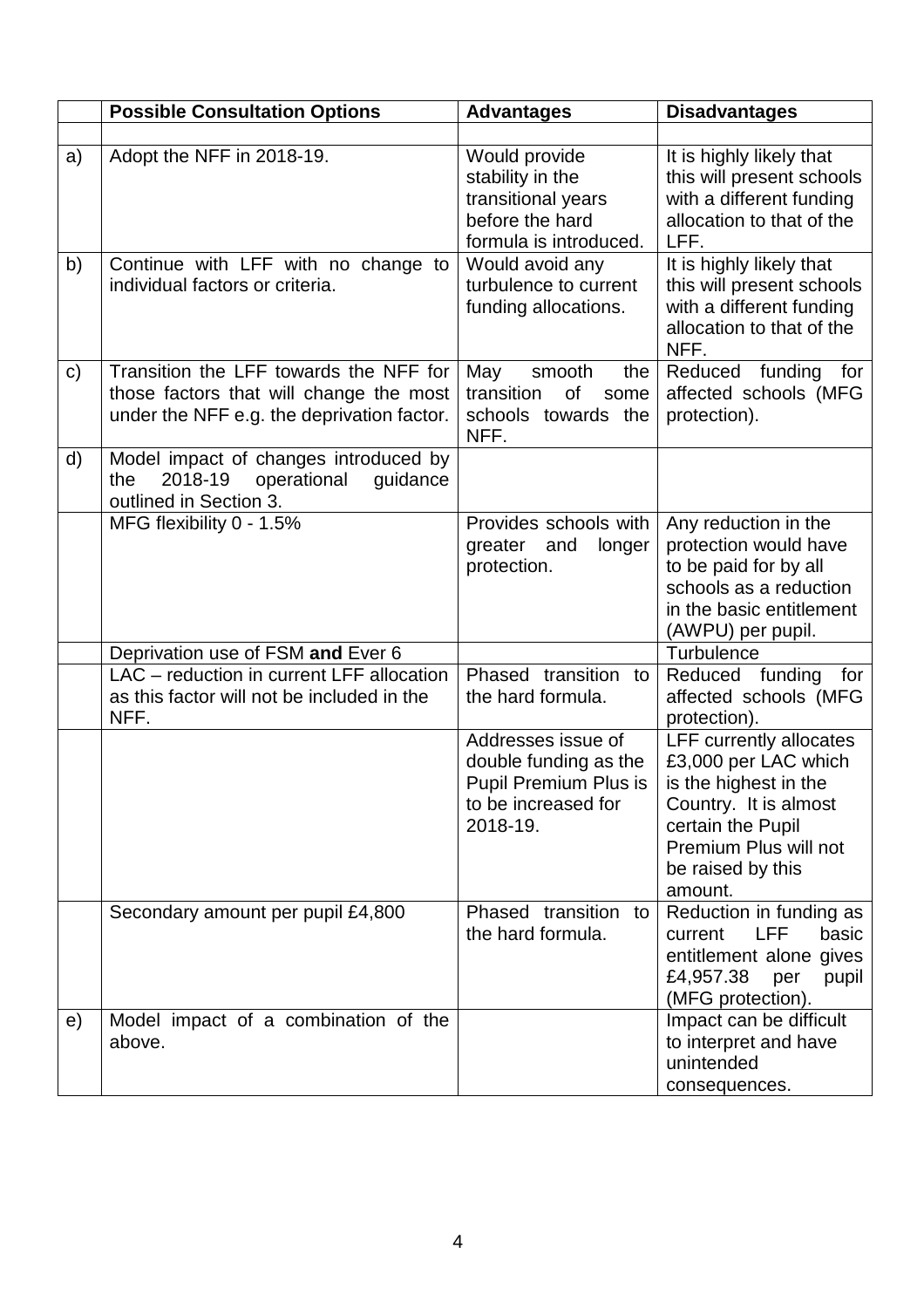|              | <b>Possible Consultation Options</b>                                                                                            | <b>Advantages</b>                                                                                                       | <b>Disadvantages</b>                                                                                                                                                                   |  |  |
|--------------|---------------------------------------------------------------------------------------------------------------------------------|-------------------------------------------------------------------------------------------------------------------------|----------------------------------------------------------------------------------------------------------------------------------------------------------------------------------------|--|--|
|              |                                                                                                                                 |                                                                                                                         |                                                                                                                                                                                        |  |  |
| a)<br>b)     | Adopt the NFF in 2018-19.<br>Continue with LFF with no change to                                                                | Would provide<br>stability in the<br>transitional years<br>before the hard<br>formula is introduced.<br>Would avoid any | It is highly likely that<br>this will present schools<br>with a different funding<br>allocation to that of the<br>LFF.<br>It is highly likely that                                     |  |  |
|              | individual factors or criteria.                                                                                                 | turbulence to current<br>funding allocations.                                                                           | this will present schools<br>with a different funding<br>allocation to that of the<br>NFF.                                                                                             |  |  |
| $\mathsf{c}$ | Transition the LFF towards the NFF for<br>those factors that will change the most<br>under the NFF e.g. the deprivation factor. | smooth<br>May<br>the<br>transition<br>of<br>some<br>schools towards the<br>NFF.                                         | Reduced funding for<br>affected schools (MFG<br>protection).                                                                                                                           |  |  |
| d)           | Model impact of changes introduced by<br>2018-19<br>operational<br>quidance<br>the<br>outlined in Section 3.                    |                                                                                                                         |                                                                                                                                                                                        |  |  |
|              | MFG flexibility 0 - 1.5%                                                                                                        | Provides schools with<br>greater and<br>longer<br>protection.                                                           | Any reduction in the<br>protection would have<br>to be paid for by all<br>schools as a reduction<br>in the basic entitlement<br>(AWPU) per pupil.                                      |  |  |
|              | Deprivation use of FSM and Ever 6                                                                                               |                                                                                                                         | Turbulence                                                                                                                                                                             |  |  |
|              | LAC - reduction in current LFF allocation<br>as this factor will not be included in the<br>NFF.                                 | Phased transition<br>to<br>the hard formula.                                                                            | Reduced funding<br>for<br>affected schools (MFG<br>protection).                                                                                                                        |  |  |
|              |                                                                                                                                 | Addresses issue of<br>double funding as the<br><b>Pupil Premium Plus is</b><br>to be increased for<br>2018-19.          | <b>LFF currently allocates</b><br>£3,000 per LAC which<br>is the highest in the<br>Country. It is almost<br>certain the Pupil<br>Premium Plus will not<br>be raised by this<br>amount. |  |  |
|              | Secondary amount per pupil £4,800                                                                                               | Phased transition<br>to<br>the hard formula.                                                                            | Reduction in funding as<br><b>LFF</b><br>basic<br>current<br>entitlement alone gives<br>£4,957.38<br>pupil<br>per<br>(MFG protection).                                                 |  |  |
| e)           | Model impact of a combination of the<br>above.                                                                                  |                                                                                                                         | Impact can be difficult<br>to interpret and have<br>unintended<br>consequences.                                                                                                        |  |  |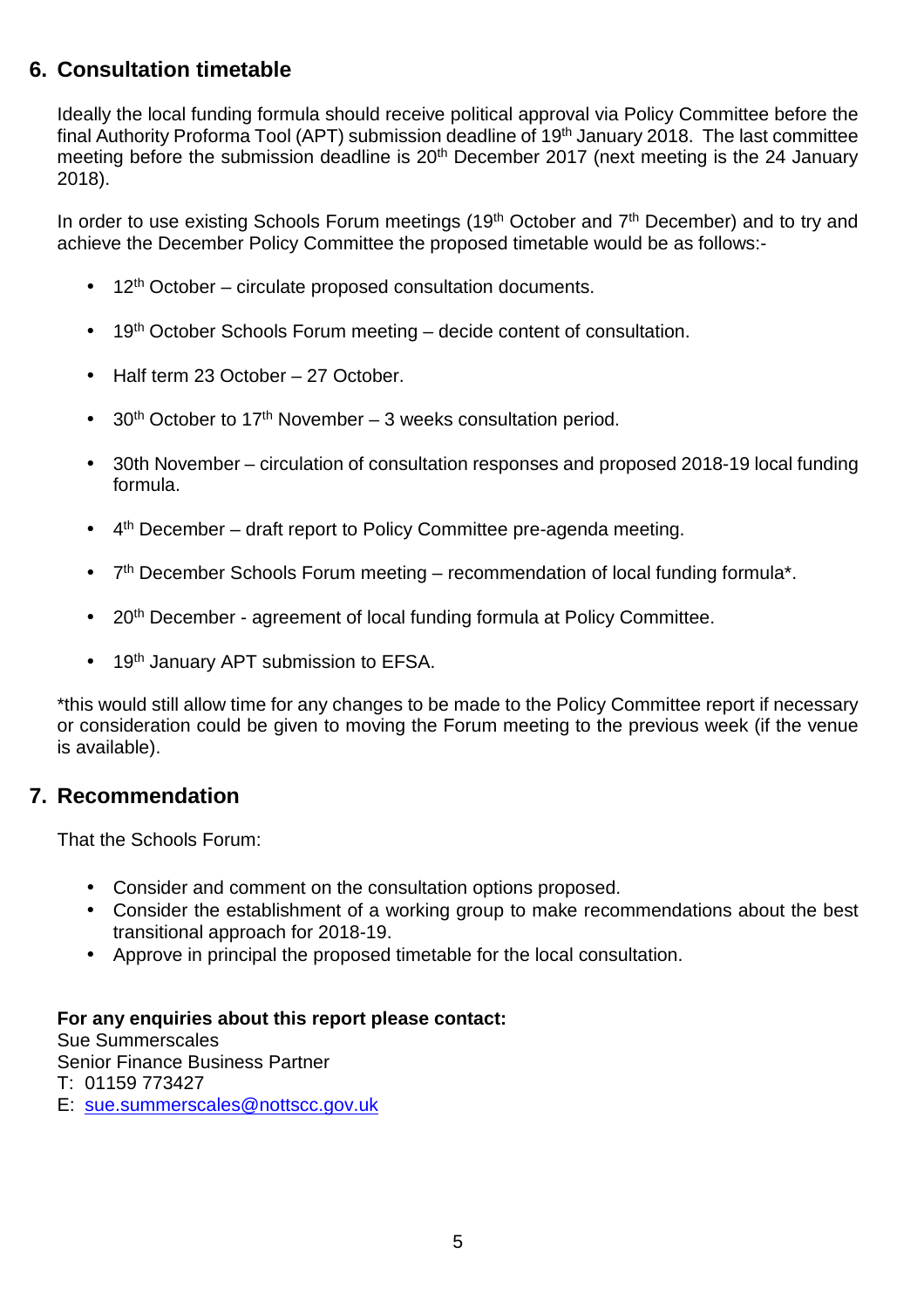# **6. Consultation timetable**

Ideally the local funding formula should receive political approval via Policy Committee before the final Authority Proforma Tool (APT) submission deadline of 19<sup>th</sup> January 2018. The last committee meeting before the submission deadline is 20<sup>th</sup> December 2017 (next meeting is the 24 January 2018).

In order to use existing Schools Forum meetings (19<sup>th</sup> October and 7<sup>th</sup> December) and to try and achieve the December Policy Committee the proposed timetable would be as follows:-

- $\bullet$  12<sup>th</sup> October circulate proposed consultation documents.
- $\bullet$  19<sup>th</sup> October Schools Forum meeting decide content of consultation.
- Half term 23 October 27 October.
- $30<sup>th</sup>$  October to 17<sup>th</sup> November 3 weeks consultation period.
- 30th November circulation of consultation responses and proposed 2018-19 local funding formula.
- $4<sup>th</sup>$  December draft report to Policy Committee pre-agenda meeting.
- $\bullet$  7<sup>th</sup> December Schools Forum meeting recommendation of local funding formula<sup>\*</sup>.
- 20<sup>th</sup> December agreement of local funding formula at Policy Committee.
- 19<sup>th</sup> January APT submission to EFSA.

\*this would still allow time for any changes to be made to the Policy Committee report if necessary or consideration could be given to moving the Forum meeting to the previous week (if the venue is available).

#### **7. Recommendation**

That the Schools Forum:

- Consider and comment on the consultation options proposed.
- Consider the establishment of a working group to make recommendations about the best transitional approach for 2018-19.
- Approve in principal the proposed timetable for the local consultation.

#### **For any enquiries about this report please contact:**

Sue Summerscales Senior Finance Business Partner

T: 01159 773427

E: sue.summerscales@nottscc.gov.uk